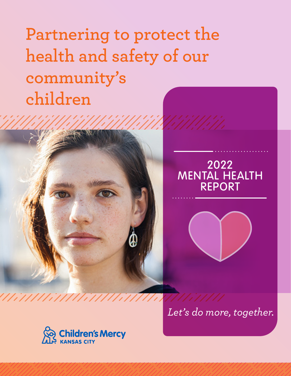**Partnering to protect the health and safety of our community's children**





*Let's do more, together.*

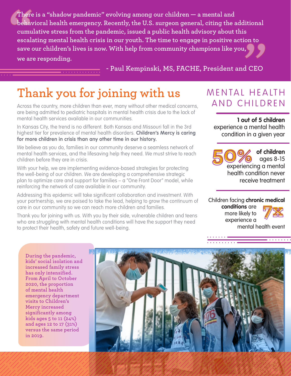**There is a "shadow pandemic" evolving among our children — a mental and behavioral health emergency. Recently, the U.S. surgeon general, citing the additional cumulative stress from the pandemic, issued a public health advisory about this escalating mental health crisis in our youth. The time to engage in positive action to save our children's lives is now. With help from community champions like you, we are responding.** 

 **- Paul Kempinski, MS, FACHE, President and CEO**

# **Thank you for joining with us**

Across the country, more children than ever, many without other medical concerns, are being admitted to pediatric hospitals in mental health crisis due to the lack of mental health services available in our communities.

In Kansas City, the trend is no different. Both Kansas and Missouri fall in the 3rd highest tier for prevalence of mental health disorders. **Children's Mercy is caring for more children in crisis than any other time in our history.**

We believe as you do, families in our community deserve a seamless network of mental health services, and the lifesaving help they need. We must strive to reach children before they are in crisis.

With your help, we are implementing evidence-based strategies for protecting the well-being of our children. We are developing a comprehensive strategic plan to optimize care and support for families – a "One Front Door" model, while reinforcing the network of care available in our community.

Addressing this epidemic will take significant collaboration and investment. With your partnership, we are poised to take the lead, helping to grow the continuum of care in our community so we can reach more children and families.

Thank you for joining with us. With you by their side, vulnerable children and teens who are struggling with mental health conditions will have the support they need to protect their health, safety and future well-being.

# MENTAL HEAITH AND CHILDREN

**1 out of 5 children** experience a mental health condition in a given year

**of children** ages 8-15 of children<br>
experiencing a mental health condition never receive treatment

Children facing **chronic medical** 

**conditions** are more likely to experience a



 $\overline{\cdots}$ 

mental health event

**During the pandemic, kids' social isolation and increased family stress has only intensified. From April to October 2020, the proportion of mental health emergency department visits to Children's Mercy increased significantly among kids ages 5 to 11 (24%) and ages 12 to 17 (31%) versus the same period in 2019.**

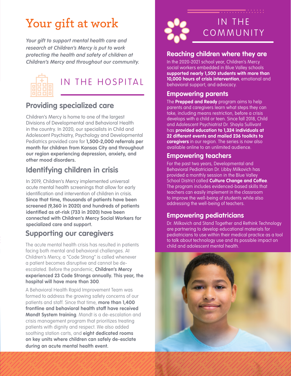# **Your gift at work**

*Your gift to support mental health care and research at Children's Mercy is put to work protecting the health and safety of children at Children's Mercy and throughout our community.*



## IN THE HOSPITAL

## **Providing specialized care**

Children's Mercy is home to one of the largest Divisions of Developmental and Behavioral Health in the country. In 2020, our specialists in Child and Adolescent Psychiatry, Psychology and Developmental Pediatrics provided care for **1,500-2,000 referrals per month for children from Kansas City and throughout our region experiencing depression, anxiety, and other mood disorders.** 

## **Identifying children in crisis**

In 2019, Children's Mercy implemented universal acute mental health screenings that allow for early identification and intervention of children in crisis. **Since that time, thousands of patients have been screened (9,360 in 2020) and hundreds of patients identified as at-risk (733 in 2020) have been connected with Children's Mercy Social Workers for specialized care and support.**

### **Supporting our caregivers**

The acute mental health crisis has resulted in patients facing both mental and behavioral challenges. At Children's Mercy, a "Code Strong" is called whenever a patient becomes disruptive and cannot be deescalated. Before the pandemic, **Children's Mercy experienced 23 Code Strongs annually. This year, the hospital will have more than 300**.

A Behavioral Health Rapid Improvement Team was formed to address the growing safety concerns of our patients and staff. Since that time, **more than 1,400 frontline and behavioral health staff have received Mandt System training**. Mandt is a de-escalation and crisis management program that prioritizes treating patients with dignity and respect. We also added soothing station carts, and **eight dedicated rooms on key units where children can safely de-esclate during an acute mental health event.** 



#### **Reaching children where they are**

In the 2020-2021 school year, Children's Mercy social workers embedded in Blue Valley schools **supported nearly 1,500 students with more than 10,000 hours of crisis intervention**, emotional and behavioral support, and advocacy.

#### **Empowering parents**

The **Prepped and Ready** program aims to help parents and caregivers learn what steps they can take, including means restriction, before a crisis develops with a child or teen. Since fall 2018, Child and Adolescent Psychiatrist Dr. Shayla Sullivant has **provided education to 1,324 individuals at 22 different events and mailed 236 toolkits to caregivers** in our region. The series is now also available online to an unlimited audience.

#### **Empowering teachers**

For the past two years, Developmental and Behavioral Pediatrician Dr. Libby Milkovich has provided a monthly session in the Blue Valley School District called **Culture Change and Coffee**. The program includes evidenced-based skills that teachers can easily implement in the classroom to improve the well-being of students while also addressing the well-being of teachers.

#### **Empowering pediatricians**

Dr. Milkovich and Stand Together and Rethink Technology are partnering to develop educational materials for pediatricians to use within their medical practice as a tool to talk about technology use and its possible impact on child and adolescent mental health.